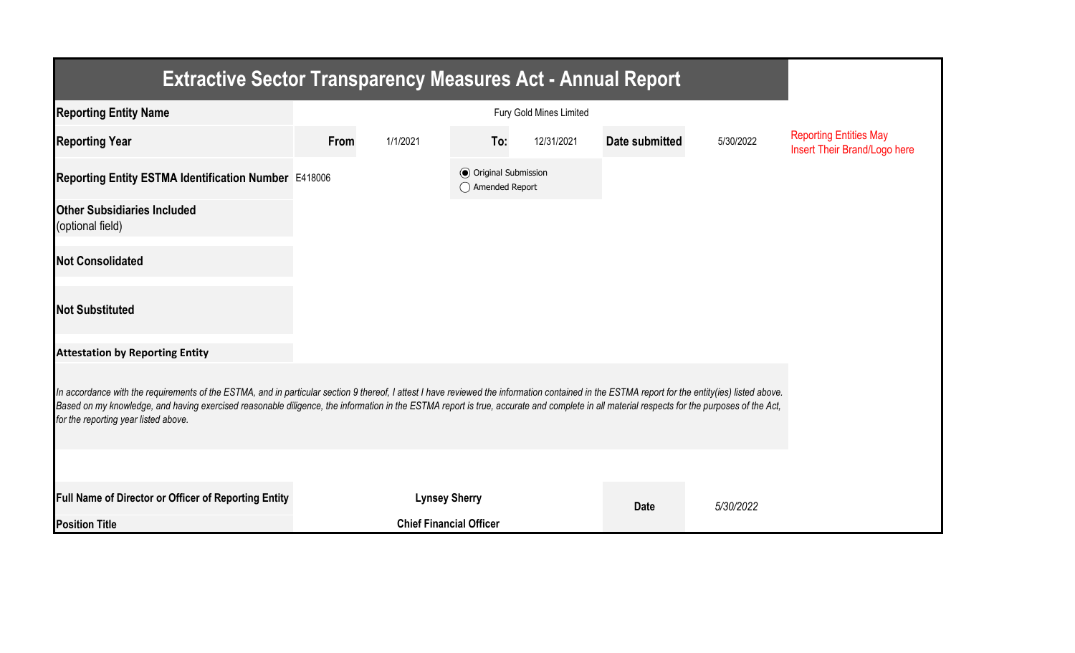| <b>Extractive Sector Transparency Measures Act - Annual Report</b>                                                                                                                                                                                                                                                                                                                                                                    |      |                                |                                                  |            |                |           |                                                               |  |  |  |
|---------------------------------------------------------------------------------------------------------------------------------------------------------------------------------------------------------------------------------------------------------------------------------------------------------------------------------------------------------------------------------------------------------------------------------------|------|--------------------------------|--------------------------------------------------|------------|----------------|-----------|---------------------------------------------------------------|--|--|--|
| <b>Reporting Entity Name</b>                                                                                                                                                                                                                                                                                                                                                                                                          |      |                                |                                                  |            |                |           |                                                               |  |  |  |
| <b>Reporting Year</b>                                                                                                                                                                                                                                                                                                                                                                                                                 | From | 1/1/2021                       | To:                                              | 12/31/2021 | Date submitted | 5/30/2022 | <b>Reporting Entities May</b><br>Insert Their Brand/Logo here |  |  |  |
| Reporting Entity ESTMA Identification Number E418006                                                                                                                                                                                                                                                                                                                                                                                  |      |                                | <b>◎</b> Original Submission<br>◯ Amended Report |            |                |           |                                                               |  |  |  |
| <b>Other Subsidiaries Included</b><br>(optional field)                                                                                                                                                                                                                                                                                                                                                                                |      |                                |                                                  |            |                |           |                                                               |  |  |  |
| <b>Not Consolidated</b>                                                                                                                                                                                                                                                                                                                                                                                                               |      |                                |                                                  |            |                |           |                                                               |  |  |  |
| <b>Not Substituted</b>                                                                                                                                                                                                                                                                                                                                                                                                                |      |                                |                                                  |            |                |           |                                                               |  |  |  |
| <b>Attestation by Reporting Entity</b>                                                                                                                                                                                                                                                                                                                                                                                                |      |                                |                                                  |            |                |           |                                                               |  |  |  |
| In accordance with the requirements of the ESTMA, and in particular section 9 thereof, I attest I have reviewed the information contained in the ESTMA report for the entity(ies) listed above.<br>Based on my knowledge, and having exercised reasonable diligence, the information in the ESTMA report is true, accurate and complete in all material respects for the purposes of the Act,<br>for the reporting year listed above. |      |                                |                                                  |            |                |           |                                                               |  |  |  |
|                                                                                                                                                                                                                                                                                                                                                                                                                                       |      |                                |                                                  |            |                |           |                                                               |  |  |  |
| Full Name of Director or Officer of Reporting Entity                                                                                                                                                                                                                                                                                                                                                                                  |      | <b>Lynsey Sherry</b>           |                                                  |            | <b>Date</b>    | 5/30/2022 |                                                               |  |  |  |
| <b>Position Title</b>                                                                                                                                                                                                                                                                                                                                                                                                                 |      | <b>Chief Financial Officer</b> |                                                  |            |                |           |                                                               |  |  |  |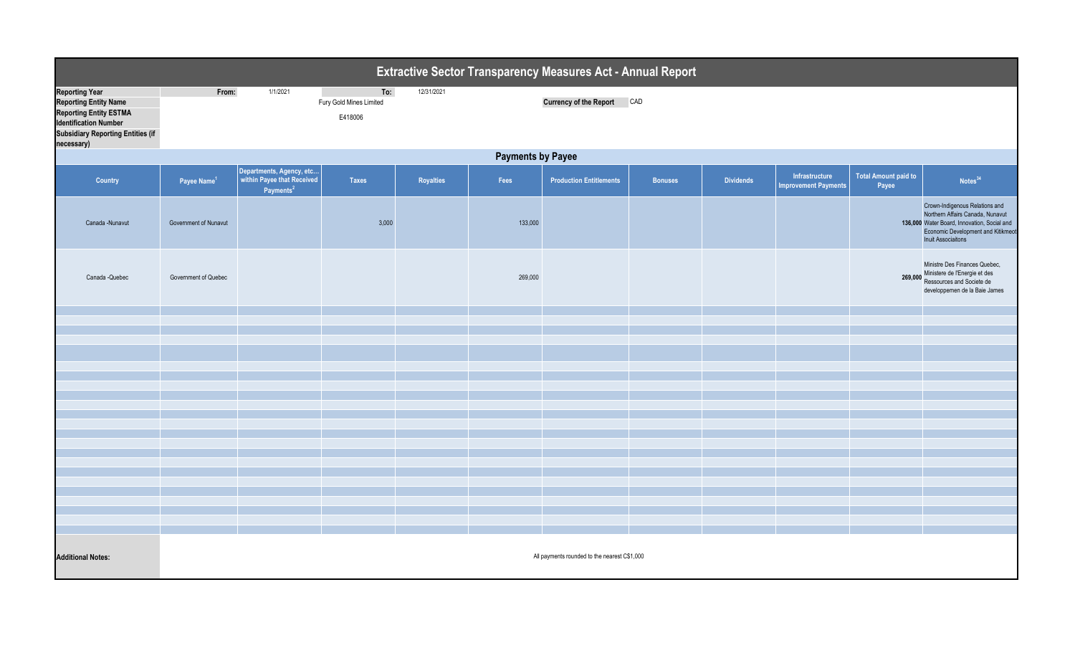| Extractive Sector Transparency Measures Act - Annual Report                                                                                                                      |                                              |                                                                                 |                                           |                  |         |                                |                |                  |                                               |                               |                                                                                                                                                                                      |  |  |
|----------------------------------------------------------------------------------------------------------------------------------------------------------------------------------|----------------------------------------------|---------------------------------------------------------------------------------|-------------------------------------------|------------------|---------|--------------------------------|----------------|------------------|-----------------------------------------------|-------------------------------|--------------------------------------------------------------------------------------------------------------------------------------------------------------------------------------|--|--|
| <b>Reporting Year</b><br><b>Reporting Entity Name</b><br><b>Reporting Entity ESTMA</b><br><b>Identification Number</b><br><b>Subsidiary Reporting Entities (if</b><br>necessary) | From:                                        | 1/1/2021                                                                        | To:<br>Fury Gold Mines Limited<br>E418006 | 12/31/2021       |         | <b>Currency of the Report</b>  | CAD            |                  |                                               |                               |                                                                                                                                                                                      |  |  |
|                                                                                                                                                                                  | <b>Payments by Payee</b>                     |                                                                                 |                                           |                  |         |                                |                |                  |                                               |                               |                                                                                                                                                                                      |  |  |
| Country                                                                                                                                                                          | Payee Name <sup>1</sup>                      | Departments, Agency, etc<br>within Payee that Received<br>Payments <sup>2</sup> | <b>Taxes</b>                              | <b>Royalties</b> | Fees    | <b>Production Entitlements</b> | <b>Bonuses</b> | <b>Dividends</b> | Infrastructure<br><b>Improvement Payments</b> | Total Amount paid to<br>Payee | Notes <sup>34</sup>                                                                                                                                                                  |  |  |
| Canada -Nunavut                                                                                                                                                                  | Government of Nunavut                        |                                                                                 | 3,000                                     |                  | 133,000 |                                |                |                  |                                               |                               | Crown-Indigenous Relations and<br>Northern Affairs Canada, Nunavut<br>136,000 Water Board, Innovation, Social and<br>Economic Development and Kitikmeot<br><b>Inuit Associaitons</b> |  |  |
| Canada - Quebec                                                                                                                                                                  | Government of Quebec                         |                                                                                 |                                           |                  | 269,000 |                                |                |                  |                                               |                               | Ministre Des Finances Quebec,<br>269,000 Ministere de l'Energie et des<br>Ressources and Societe de<br>developpemen de la Baie James                                                 |  |  |
|                                                                                                                                                                                  |                                              |                                                                                 |                                           |                  |         |                                |                |                  |                                               |                               |                                                                                                                                                                                      |  |  |
|                                                                                                                                                                                  |                                              |                                                                                 |                                           |                  |         |                                |                |                  |                                               |                               |                                                                                                                                                                                      |  |  |
|                                                                                                                                                                                  |                                              |                                                                                 |                                           |                  |         |                                |                |                  |                                               |                               |                                                                                                                                                                                      |  |  |
|                                                                                                                                                                                  |                                              |                                                                                 |                                           |                  |         |                                |                |                  |                                               |                               |                                                                                                                                                                                      |  |  |
|                                                                                                                                                                                  |                                              |                                                                                 |                                           |                  |         |                                |                |                  |                                               |                               |                                                                                                                                                                                      |  |  |
|                                                                                                                                                                                  |                                              |                                                                                 |                                           |                  |         |                                |                |                  |                                               |                               |                                                                                                                                                                                      |  |  |
|                                                                                                                                                                                  |                                              |                                                                                 |                                           |                  |         |                                |                |                  |                                               |                               |                                                                                                                                                                                      |  |  |
|                                                                                                                                                                                  |                                              |                                                                                 |                                           |                  |         |                                |                |                  |                                               |                               |                                                                                                                                                                                      |  |  |
|                                                                                                                                                                                  |                                              |                                                                                 |                                           |                  |         |                                |                |                  |                                               |                               |                                                                                                                                                                                      |  |  |
|                                                                                                                                                                                  |                                              |                                                                                 |                                           |                  |         |                                |                |                  |                                               |                               |                                                                                                                                                                                      |  |  |
|                                                                                                                                                                                  |                                              |                                                                                 |                                           |                  |         |                                |                |                  |                                               |                               |                                                                                                                                                                                      |  |  |
|                                                                                                                                                                                  |                                              |                                                                                 |                                           |                  |         |                                |                |                  |                                               |                               |                                                                                                                                                                                      |  |  |
|                                                                                                                                                                                  |                                              |                                                                                 |                                           |                  |         |                                |                |                  |                                               |                               |                                                                                                                                                                                      |  |  |
|                                                                                                                                                                                  |                                              |                                                                                 |                                           |                  |         |                                |                |                  |                                               |                               |                                                                                                                                                                                      |  |  |
|                                                                                                                                                                                  |                                              |                                                                                 |                                           |                  |         |                                |                |                  |                                               |                               |                                                                                                                                                                                      |  |  |
| <b>Additional Notes:</b>                                                                                                                                                         | All payments rounded to the nearest C\$1,000 |                                                                                 |                                           |                  |         |                                |                |                  |                                               |                               |                                                                                                                                                                                      |  |  |